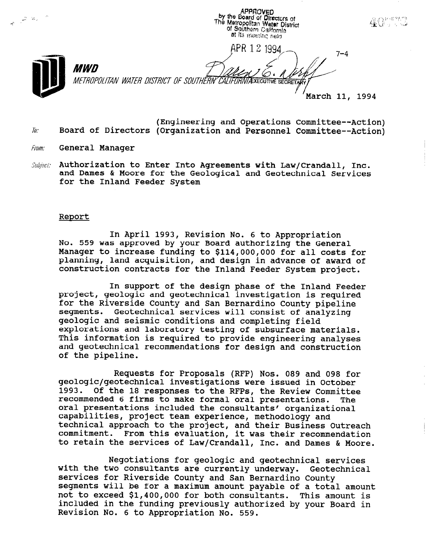APPROVED<br>by the Board of Directors of  $\mathbb{Z}^{\mathbb{Z}^{\times}}$  is  $\mathbb{Z}$  $\Delta$   $\Omega$   $\Omega$  in the  $\Omega$ The Metropolitan Water District of Southern California at its meeting held APR 12 1994 7–4 **MWD** METROPOLITAN WATER DISTRICT OF SOUTHERN CALIFORNIA XECUTIVE SECRETARY March 11, 1994

- (Engineering and Operations Committee--Action)  $\bar{h}$ : Board of Directors (Organization and Personnel Committee--Action)
- *From:* General Manager
- Subject: Authorization to Enter Into Agreements with Law/Crandall, Inc. and Dames & Moore for the Geological and Geotechnical Services for the Inland Feeder System

#### Report

In April 1993, Revision No. 6 to Appropriation IN APILI 1993, REVISION NO. 6 CO APPropriation<br>No. 559 was approved by your Board authorizing the G No. 559 was approved by your Board authorizing the General Manager to increase funding to \$114,000,000 for all costs for planning, land acquisition, and design in advance of award of<br>construction contracts for the Inland Feeder System project.

In support of the design phase of the Inland Feeder project and geological investigation in support of the geological investigation in an investigation in the  $\mathbf{p}_i$ project, geologic and geotechnical investigation is required for the Riverside County and San Bernardino County pipeline segments. Geotechnical services will consist of analyzing geologic and seismic conditions and completing field explorations and laboratory testing of subsurface materials. This information is required to provide engineering analyses and geotechnical recommendations for design and construction of the pipeline.

Requests for Proposals (RFP) Nos. 089 and 098 for geologic/geotechnical investigations were issued in October 1993. Of the 18 responses to the RFPs, the Review Committee recommended 6 firms to make formal oral presentations. **The** oral presentations included the consultants' organizational capabilities, project team experience, methodology and technical approach to the project, and their Business Outreach commitment. From this evaluation, it was their recommendation to retain the services of Law/Crandall, Inc. and Dames & Moore.

Negotiations for geologic and geotechnical services with the two consultants are currently underway. Geotechnical services for Riverside County and San Bernardino County segments will be for a maximum amount payable of a total amount not to exceed \$1,400,000 for both consultants. This amount is included in the funding previously authorized by your Board in Revision No. 6 to Appropriation No. 559.

Negotiations for geologic and geotechnical services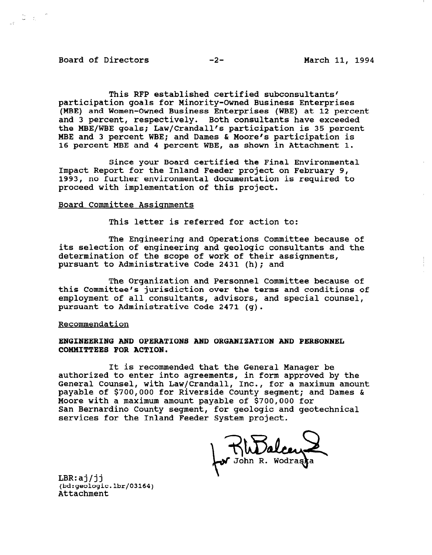#### Board of Directors -2- March 11, 1994

 $\frac{1}{\sqrt{2}}\left(\frac{1}{\sqrt{2}}\right)^{1/2}$ 

This RFP established certified subconsultants' participation goals for Minority-Owned Business Enterprises (MBE) and Women-Owned Business Enterprises (WBE) at 12 percent and 3 percent, respectively. Both consultants have exceeded the MBE/WBE goals; Law/Crandall's participation is 35 percent MBE and 3 percent WBE; and Dames & Moore's participation is 16 percent MBE and 4 percent WBE, as shown in Attachment 1.

Since your Board certified the Final Environmental Impact Report for the Inland Feeder project on February 9, 1993, no further environmental documentation is required to proceed with implementation of this project.

### Board Committee Assignments

This letter is referred for action to:

The Engineering and Operations Committee because of its selection of engineering and geologic consultants and the determination of the scope of work of their assignments, pursuant to Administrative Code 2431 (h); and

The Organization and Personnel Committee because of this Committee's jurisdiction over the terms and conditions of employment of all consultants, advisors, and special counsel, pursuant to Administrative Code 2471 (g).

#### Recommendation

#### ENGINEERING AND OPERATIONS AND ORGANIZATION AND PERSONNEL COMMITTEES FOR ACTION.

It is recommended that the General Manager be authorized to enter into agreements, in form approved by the General Counsel, with Law/Crandall, Inc., for a maximum amount payable of \$700,000 for Riverside County segment; and Dames & Moore with a maximum amount payable of \$700,000 for San Bernardino County segment, for geologic and geotechnical services for the Inland Feeder System project.

NuDalcen

LBR:aj/jj (bd:geologic.lbr/03164) Attachment